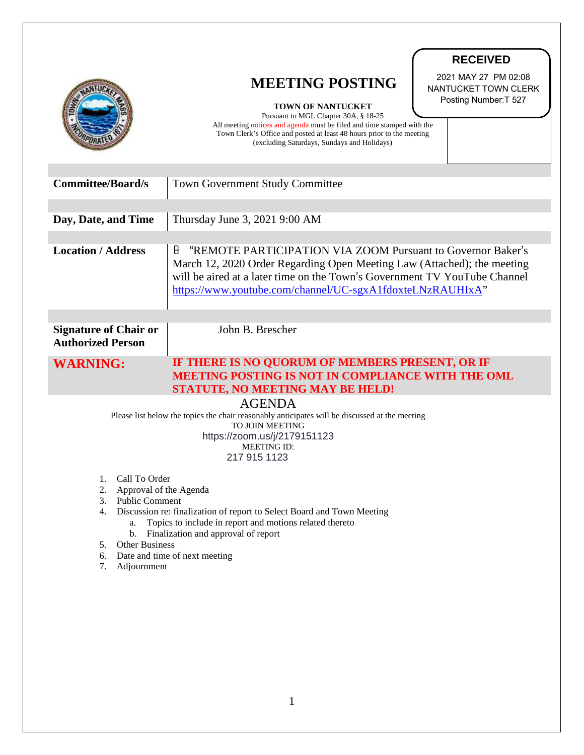|                                                                                                                                                                                                                                                                                                                                                                                                                                                                                                                                                                          | <b>RECEIVED</b><br>2021 MAY 27 PM 02:08<br><b>MEETING POSTING</b><br>NANTUCKET TOWN CLERK<br>Posting Number: T 527<br><b>TOWN OF NANTUCKET</b><br>Pursuant to MGL Chapter 30A, § 18-25<br>All meeting notices and agenda must be filed and time stamped with the<br>Town Clerk's Office and posted at least 48 hours prior to the meeting |
|--------------------------------------------------------------------------------------------------------------------------------------------------------------------------------------------------------------------------------------------------------------------------------------------------------------------------------------------------------------------------------------------------------------------------------------------------------------------------------------------------------------------------------------------------------------------------|-------------------------------------------------------------------------------------------------------------------------------------------------------------------------------------------------------------------------------------------------------------------------------------------------------------------------------------------|
| <b>Committee/Board/s</b>                                                                                                                                                                                                                                                                                                                                                                                                                                                                                                                                                 | (excluding Saturdays, Sundays and Holidays)<br><b>Town Government Study Committee</b>                                                                                                                                                                                                                                                     |
| Day, Date, and Time                                                                                                                                                                                                                                                                                                                                                                                                                                                                                                                                                      | Thursday June 3, 2021 9:00 AM                                                                                                                                                                                                                                                                                                             |
| <b>Location / Address</b>                                                                                                                                                                                                                                                                                                                                                                                                                                                                                                                                                | Н<br>"REMOTE PARTICIPATION VIA ZOOM Pursuant to Governor Baker's<br>March 12, 2020 Order Regarding Open Meeting Law (Attached); the meeting<br>will be aired at a later time on the Town's Government TV YouTube Channel<br>https://www.youtube.com/channel/UC-sgxA1fdoxteLNzRAUHIxA"                                                     |
| <b>Signature of Chair or</b><br><b>Authorized Person</b>                                                                                                                                                                                                                                                                                                                                                                                                                                                                                                                 | John B. Brescher                                                                                                                                                                                                                                                                                                                          |
| <b>WARNING:</b>                                                                                                                                                                                                                                                                                                                                                                                                                                                                                                                                                          | IF THERE IS NO QUORUM OF MEMBERS PRESENT, OR IF<br><b>MEETING POSTING IS NOT IN COMPLIANCE WITH THE OML</b><br><b>STATUTE, NO MEETING MAY BE HELD!</b>                                                                                                                                                                                    |
| <b>AGENDA</b><br>Please list below the topics the chair reasonably anticipates will be discussed at the meeting<br><b>TO JOIN MEETING</b><br>https://zoom.us/j/2179151123<br><b>MEETING ID:</b><br>217 915 1123<br>Call To Order<br>1.<br>2.<br>Approval of the Agenda<br>3. Public Comment<br>4. Discussion re: finalization of report to Select Board and Town Meeting<br>Topics to include in report and motions related thereto<br>a.<br>b. Finalization and approval of report<br><b>Other Business</b><br>5.<br>6. Date and time of next meeting<br>7. Adjournment |                                                                                                                                                                                                                                                                                                                                           |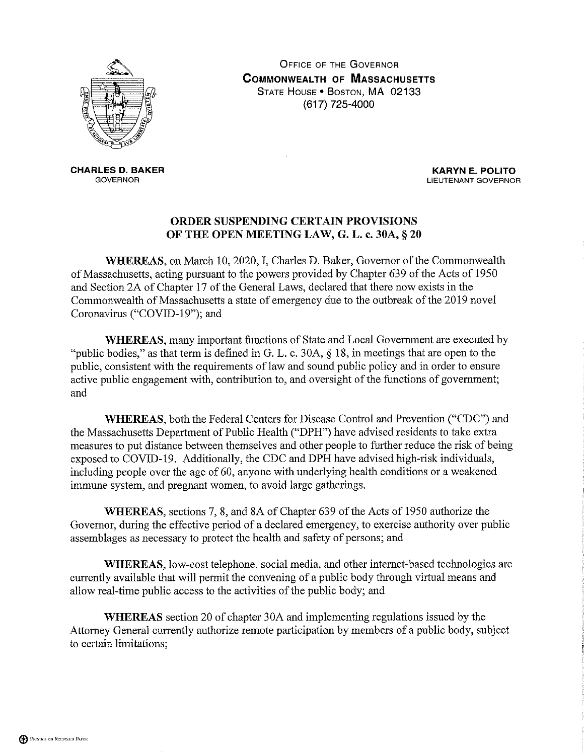

**OFFICE OF THE GOVERNOR COMMONWEALTH OF MASSACHUSETTS** STATE HOUSE . BOSTON, MA 02133 (617) 725-4000

**CHARLES D. BAKER GOVERNOR** 

**KARYN E. POLITO** LIEUTENANT GOVERNOR

## ORDER SUSPENDING CERTAIN PROVISIONS OF THE OPEN MEETING LAW, G. L. c. 30A, § 20

WHEREAS, on March 10, 2020, I, Charles D. Baker, Governor of the Commonwealth of Massachusetts, acting pursuant to the powers provided by Chapter 639 of the Acts of 1950 and Section 2A of Chapter 17 of the General Laws, declared that there now exists in the Commonwealth of Massachusetts a state of emergency due to the outbreak of the 2019 novel Coronavirus ("COVID-19"); and

**WHEREAS**, many important functions of State and Local Government are executed by "public bodies," as that term is defined in G. L. c. 30A,  $\S$  18, in meetings that are open to the public, consistent with the requirements of law and sound public policy and in order to ensure active public engagement with, contribution to, and oversight of the functions of government; and

WHEREAS, both the Federal Centers for Disease Control and Prevention ("CDC") and the Massachusetts Department of Public Health ("DPH") have advised residents to take extra measures to put distance between themselves and other people to further reduce the risk of being exposed to COVID-19. Additionally, the CDC and DPH have advised high-risk individuals, including people over the age of 60, anyone with underlying health conditions or a weakened immune system, and pregnant women, to avoid large gatherings.

WHEREAS, sections 7, 8, and 8A of Chapter 639 of the Acts of 1950 authorize the Governor, during the effective period of a declared emergency, to exercise authority over public assemblages as necessary to protect the health and safety of persons; and

WHEREAS, low-cost telephone, social media, and other internet-based technologies are currently available that will permit the convening of a public body through virtual means and allow real-time public access to the activities of the public body; and

**WHEREAS** section 20 of chapter 30A and implementing regulations issued by the Attorney General currently authorize remote participation by members of a public body, subject to certain limitations;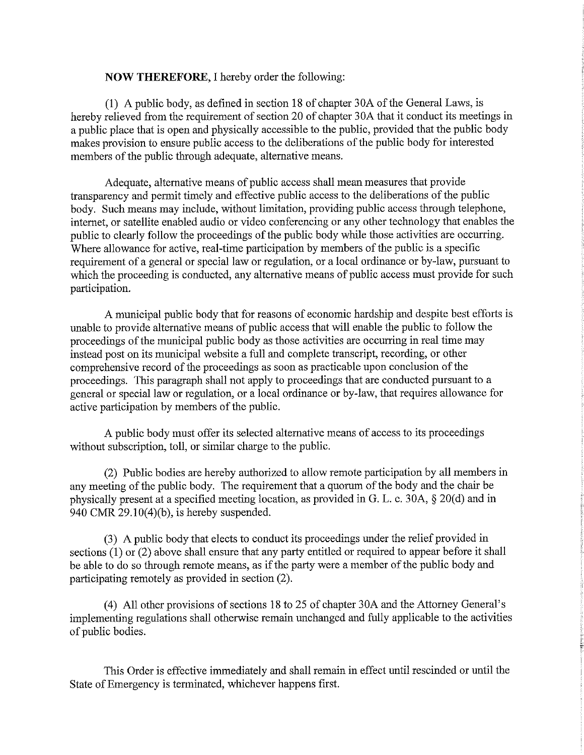## **NOW THEREFORE, I hereby order the following:**

(1) A public body, as defined in section 18 of chapter 30A of the General Laws, is hereby relieved from the requirement of section 20 of chapter 30A that it conduct its meetings in a public place that is open and physically accessible to the public, provided that the public body makes provision to ensure public access to the deliberations of the public body for interested members of the public through adequate, alternative means.

Adequate, alternative means of public access shall mean measures that provide transparency and permit timely and effective public access to the deliberations of the public body. Such means may include, without limitation, providing public access through telephone, internet, or satellite enabled audio or video conferencing or any other technology that enables the public to clearly follow the proceedings of the public body while those activities are occurring. Where allowance for active, real-time participation by members of the public is a specific requirement of a general or special law or regulation, or a local ordinance or by-law, pursuant to which the proceeding is conducted, any alternative means of public access must provide for such participation.

A municipal public body that for reasons of economic hardship and despite best efforts is unable to provide alternative means of public access that will enable the public to follow the proceedings of the municipal public body as those activities are occurring in real time may instead post on its municipal website a full and complete transcript, recording, or other comprehensive record of the proceedings as soon as practicable upon conclusion of the proceedings. This paragraph shall not apply to proceedings that are conducted pursuant to a general or special law or regulation, or a local ordinance or by-law, that requires allowance for active participation by members of the public.

A public body must offer its selected alternative means of access to its proceedings without subscription, toll, or similar charge to the public.

(2) Public bodies are hereby authorized to allow remote participation by all members in any meeting of the public body. The requirement that a quorum of the body and the chair be physically present at a specified meeting location, as provided in G. L. c. 30A, § 20(d) and in 940 CMR  $29.10(4)(b)$ , is hereby suspended.

(3) A public body that elects to conduct its proceedings under the relief provided in sections  $(1)$  or  $(2)$  above shall ensure that any party entitled or required to appear before it shall be able to do so through remote means, as if the party were a member of the public body and participating remotely as provided in section (2).

(4) All other provisions of sections 18 to 25 of chapter 30A and the Attorney General's implementing regulations shall otherwise remain unchanged and fully applicable to the activities of public bodies.

This Order is effective immediately and shall remain in effect until rescinded or until the State of Emergency is terminated, whichever happens first.